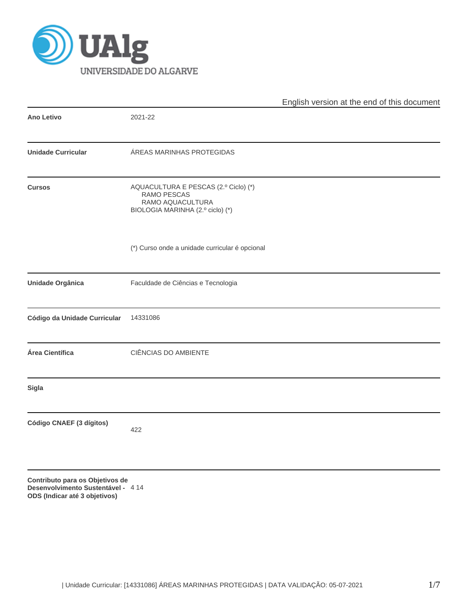

|                                                                                                       |                                                                                                             | English version at the end of this document |
|-------------------------------------------------------------------------------------------------------|-------------------------------------------------------------------------------------------------------------|---------------------------------------------|
| <b>Ano Letivo</b>                                                                                     | 2021-22                                                                                                     |                                             |
| <b>Unidade Curricular</b>                                                                             | ÁREAS MARINHAS PROTEGIDAS                                                                                   |                                             |
| <b>Cursos</b>                                                                                         | AQUACULTURA E PESCAS (2.º Ciclo) (*)<br>RAMO PESCAS<br>RAMO AQUACULTURA<br>BIOLOGIA MARINHA (2.º ciclo) (*) |                                             |
|                                                                                                       | (*) Curso onde a unidade curricular é opcional                                                              |                                             |
| Unidade Orgânica                                                                                      | Faculdade de Ciências e Tecnologia                                                                          |                                             |
| Código da Unidade Curricular                                                                          | 14331086                                                                                                    |                                             |
| Área Científica                                                                                       | CIÊNCIAS DO AMBIENTE                                                                                        |                                             |
| <b>Sigla</b>                                                                                          |                                                                                                             |                                             |
| Código CNAEF (3 dígitos)                                                                              | 422                                                                                                         |                                             |
| Contributo para os Objetivos de<br>Desenvolvimento Sustentável - 414<br>ODS (Indicar até 3 objetivos) |                                                                                                             |                                             |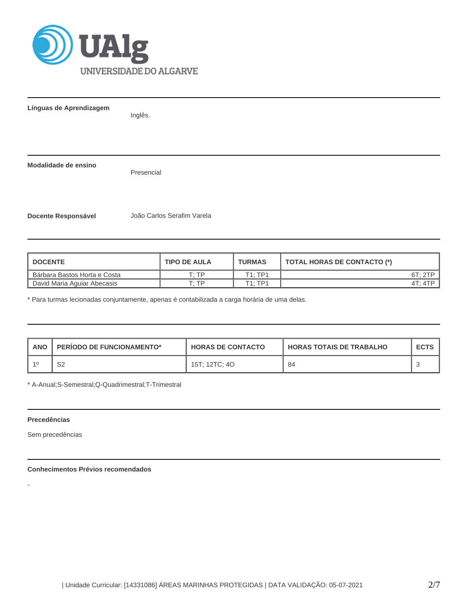

**Línguas de Aprendizagem**

Inglês.

**Modalidade de ensino**

Presencial

**Docente Responsável** João Carlos Serafim Varela

| <b>I DOCENTE</b>               | <b>TIPO DE AULA</b> | <b>TURMAS</b> | TOTAL HORAS DE CONTACTO (*) |
|--------------------------------|---------------------|---------------|-----------------------------|
| l Bárbara Bastos Horta e Costa | סד ּד               | T1:TP1        | 6T:2TP                      |
| David Maria Aguiar Abecasis    | ח ה                 | T1:TP1        | 4T: 4TP                     |

\* Para turmas lecionadas conjuntamente, apenas é contabilizada a carga horária de uma delas.

| <b>ANO</b> | <b>PERIODO DE FUNCIONAMENTO*</b> | <b>HORAS DE CONTACTO</b> | <b>I HORAS TOTAIS DE TRABALHO</b> | <b>ECTS</b> |
|------------|----------------------------------|--------------------------|-----------------------------------|-------------|
|            | S2                               | 15T; 12TC; 4O            | 84                                |             |

\* A-Anual;S-Semestral;Q-Quadrimestral;T-Trimestral

## **Precedências**

-

Sem precedências

## **Conhecimentos Prévios recomendados**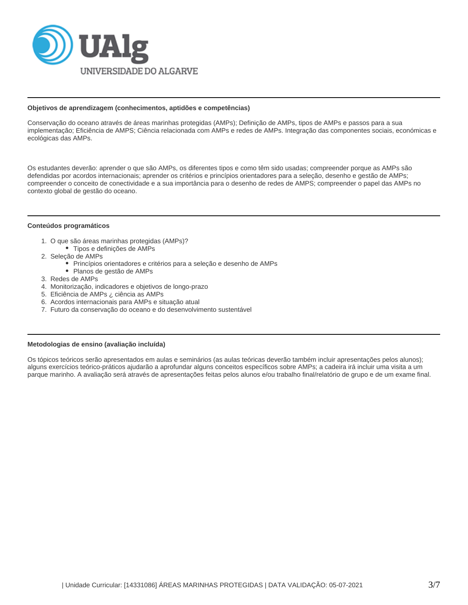

#### **Objetivos de aprendizagem (conhecimentos, aptidões e competências)**

Conservação do oceano através de áreas marinhas protegidas (AMPs); Definição de AMPs, tipos de AMPs e passos para a sua implementação; Eficiência de AMPS; Ciência relacionada com AMPs e redes de AMPs. Integração das componentes sociais, económicas e ecológicas das AMPs.

Os estudantes deverão: aprender o que são AMPs, os diferentes tipos e como têm sido usadas; compreender porque as AMPs são defendidas por acordos internacionais; aprender os critérios e princípios orientadores para a seleção, desenho e gestão de AMPs; compreender o conceito de conectividade e a sua importância para o desenho de redes de AMPS; compreender o papel das AMPs no contexto global de gestão do oceano.

## **Conteúdos programáticos**

- 1. O que são áreas marinhas protegidas (AMPs)?
	- Tipos e definições de AMPs
- 2. Seleção de AMPs
	- Princípios orientadores e critérios para a seleção e desenho de AMPs
	- Planos de gestão de AMPs
- 3. Redes de AMPs
- 4. Monitorização, indicadores e objetivos de longo-prazo
- 5. Eficiência de AMPs ¿ ciência as AMPs
- 6. Acordos internacionais para AMPs e situação atual
- 7. Futuro da conservação do oceano e do desenvolvimento sustentável

#### **Metodologias de ensino (avaliação incluída)**

Os tópicos teóricos serão apresentados em aulas e seminários (as aulas teóricas deverão também incluir apresentações pelos alunos); alguns exercícios teórico-práticos ajudarão a aprofundar alguns conceitos específicos sobre AMPs; a cadeira irá incluir uma visita a um parque marinho. A avaliação será através de apresentações feitas pelos alunos e/ou trabalho final/relatório de grupo e de um exame final.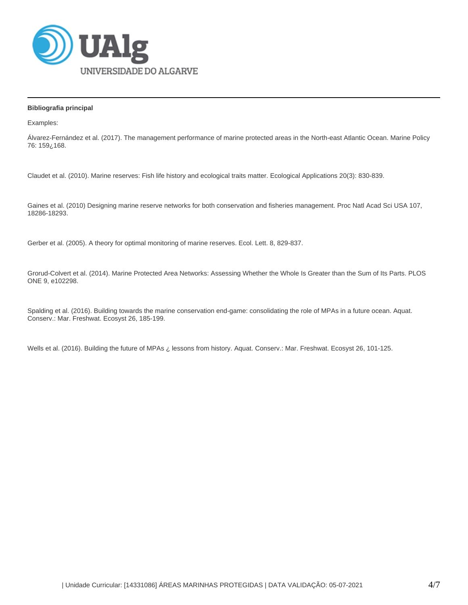

# **Bibliografia principal**

Examples:

Álvarez-Fernández et al. (2017). The management performance of marine protected areas in the North-east Atlantic Ocean. Marine Policy 76: 159¿168.

Claudet et al. (2010). Marine reserves: Fish life history and ecological traits matter. Ecological Applications 20(3): 830-839.

Gaines et al. (2010) Designing marine reserve networks for both conservation and fisheries management. Proc Natl Acad Sci USA 107, 18286-18293.

Gerber et al. (2005). A theory for optimal monitoring of marine reserves. Ecol. Lett. 8, 829-837.

Grorud-Colvert et al. (2014). Marine Protected Area Networks: Assessing Whether the Whole Is Greater than the Sum of Its Parts. PLOS ONE 9, e102298.

Spalding et al. (2016). Building towards the marine conservation end-game: consolidating the role of MPAs in a future ocean. Aquat. Conserv.: Mar. Freshwat. Ecosyst 26, 185-199.

Wells et al. (2016). Building the future of MPAs ¿ lessons from history. Aquat. Conserv.: Mar. Freshwat. Ecosyst 26, 101-125.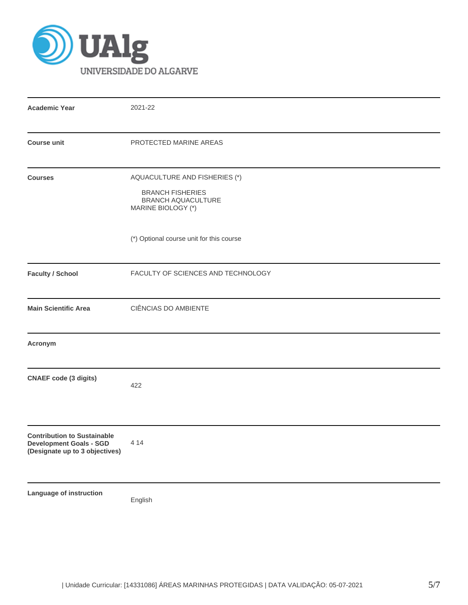

| <b>Academic Year</b>                                                                                   | 2021-22                                                                                                     |
|--------------------------------------------------------------------------------------------------------|-------------------------------------------------------------------------------------------------------------|
| <b>Course unit</b>                                                                                     | PROTECTED MARINE AREAS                                                                                      |
| <b>Courses</b>                                                                                         | AQUACULTURE AND FISHERIES (*)<br><b>BRANCH FISHERIES</b><br><b>BRANCH AQUACULTURE</b><br>MARINE BIOLOGY (*) |
|                                                                                                        | (*) Optional course unit for this course                                                                    |
| <b>Faculty / School</b>                                                                                | FACULTY OF SCIENCES AND TECHNOLOGY                                                                          |
| <b>Main Scientific Area</b>                                                                            | CIÊNCIAS DO AMBIENTE                                                                                        |
| Acronym                                                                                                |                                                                                                             |
| <b>CNAEF</b> code (3 digits)                                                                           | 422                                                                                                         |
| <b>Contribution to Sustainable</b><br><b>Development Goals - SGD</b><br>(Designate up to 3 objectives) | 4 1 4                                                                                                       |
| Language of instruction                                                                                | English                                                                                                     |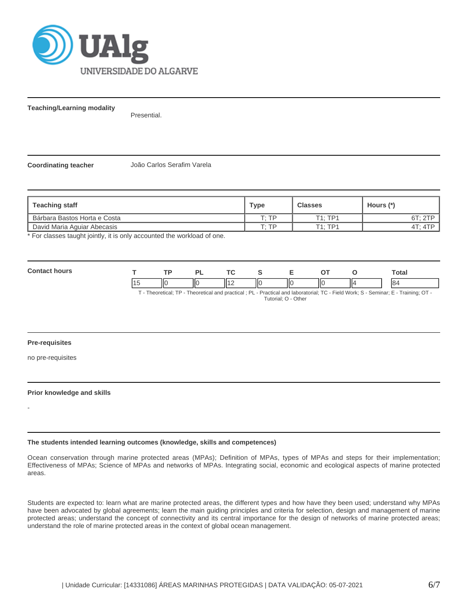

**Teaching/Learning modality**

Presential.

**Coordinating teacher** João Carlos Serafim Varela

| <b>Teaching staff</b>        | Type  | <b>Classes</b> | Hours (*) |
|------------------------------|-------|----------------|-----------|
| Bárbara Bastos Horta e Costa | סד יד | $T1 \cdot TP1$ | 6T: 2TP   |
| David Maria Aguiar Abecasis  | סד יד | T1. TP1        | 4T: 4TP   |

\* For classes taught jointly, it is only accounted the workload of one.

**Contact hours T TP PL TC S E OT O Total** 15 ||0 ||0 ||12 ||0 ||0 ||0 ||4 | |84

T - Theoretical; TP - Theoretical and practical ; PL - Practical and laboratorial; TC - Field Work; S - Seminar; E - Training; OT - Tutorial; O - Other

## **Pre-requisites**

no pre-requisites

-

#### **Prior knowledge and skills**

**The students intended learning outcomes (knowledge, skills and competences)**

Ocean conservation through marine protected areas (MPAs); Definition of MPAs, types of MPAs and steps for their implementation; Effectiveness of MPAs; Science of MPAs and networks of MPAs. Integrating social, economic and ecological aspects of marine protected areas.

Students are expected to: learn what are marine protected areas, the different types and how have they been used; understand why MPAs have been advocated by global agreements; learn the main guiding principles and criteria for selection, design and management of marine protected areas; understand the concept of connectivity and its central importance for the design of networks of marine protected areas; understand the role of marine protected areas in the context of global ocean management.